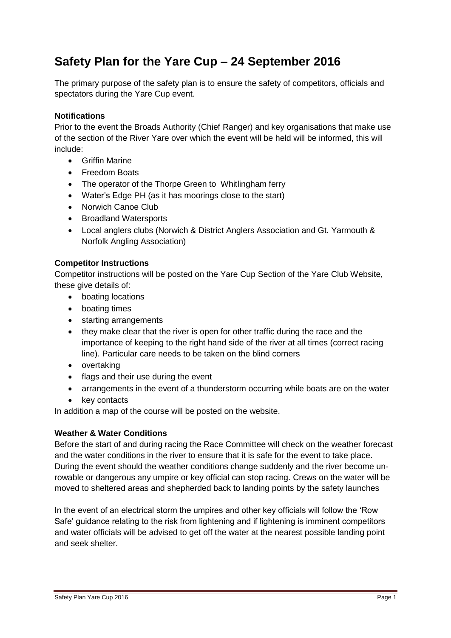# **Safety Plan for the Yare Cup – 24 September 2016**

The primary purpose of the safety plan is to ensure the safety of competitors, officials and spectators during the Yare Cup event.

# **Notifications**

Prior to the event the Broads Authority (Chief Ranger) and key organisations that make use of the section of the River Yare over which the event will be held will be informed, this will include:

- Griffin Marine
- **•** Freedom Boats
- The operator of the Thorpe Green to Whitlingham ferry
- Water's Edge PH (as it has moorings close to the start)
- Norwich Canoe Club
- Broadland Watersports
- Local anglers clubs (Norwich & District Anglers Association and Gt. Yarmouth & Norfolk Angling Association)

# **Competitor Instructions**

Competitor instructions will be posted on the Yare Cup Section of the Yare Club Website, these give details of:

- boating locations
- boating times
- starting arrangements
- they make clear that the river is open for other traffic during the race and the importance of keeping to the right hand side of the river at all times (correct racing line). Particular care needs to be taken on the blind corners
- overtaking
- flags and their use during the event
- arrangements in the event of a thunderstorm occurring while boats are on the water
- key contacts

In addition a map of the course will be posted on the website.

# **Weather & Water Conditions**

Before the start of and during racing the Race Committee will check on the weather forecast and the water conditions in the river to ensure that it is safe for the event to take place. During the event should the weather conditions change suddenly and the river become unrowable or dangerous any umpire or key official can stop racing. Crews on the water will be moved to sheltered areas and shepherded back to landing points by the safety launches

In the event of an electrical storm the umpires and other key officials will follow the 'Row Safe' guidance relating to the risk from lightening and if lightening is imminent competitors and water officials will be advised to get off the water at the nearest possible landing point and seek shelter.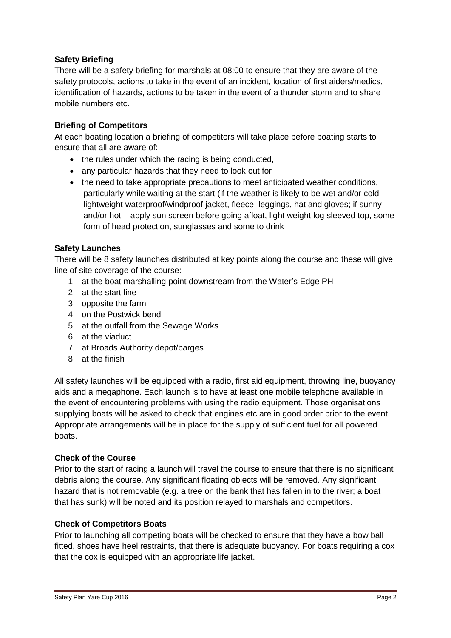# **Safety Briefing**

There will be a safety briefing for marshals at 08:00 to ensure that they are aware of the safety protocols, actions to take in the event of an incident, location of first aiders/medics, identification of hazards, actions to be taken in the event of a thunder storm and to share mobile numbers etc.

## **Briefing of Competitors**

At each boating location a briefing of competitors will take place before boating starts to ensure that all are aware of:

- the rules under which the racing is being conducted,
- any particular hazards that they need to look out for
- the need to take appropriate precautions to meet anticipated weather conditions, particularly while waiting at the start (if the weather is likely to be wet and/or cold – lightweight waterproof/windproof jacket, fleece, leggings, hat and gloves; if sunny and/or hot – apply sun screen before going afloat, light weight log sleeved top, some form of head protection, sunglasses and some to drink

## **Safety Launches**

There will be 8 safety launches distributed at key points along the course and these will give line of site coverage of the course:

- 1. at the boat marshalling point downstream from the Water's Edge PH
- 2. at the start line
- 3. opposite the farm
- 4. on the Postwick bend
- 5. at the outfall from the Sewage Works
- 6. at the viaduct
- 7. at Broads Authority depot/barges
- 8. at the finish

All safety launches will be equipped with a radio, first aid equipment, throwing line, buoyancy aids and a megaphone. Each launch is to have at least one mobile telephone available in the event of encountering problems with using the radio equipment. Those organisations supplying boats will be asked to check that engines etc are in good order prior to the event. Appropriate arrangements will be in place for the supply of sufficient fuel for all powered boats.

#### **Check of the Course**

Prior to the start of racing a launch will travel the course to ensure that there is no significant debris along the course. Any significant floating objects will be removed. Any significant hazard that is not removable (e.g. a tree on the bank that has fallen in to the river; a boat that has sunk) will be noted and its position relayed to marshals and competitors.

#### **Check of Competitors Boats**

Prior to launching all competing boats will be checked to ensure that they have a bow ball fitted, shoes have heel restraints, that there is adequate buoyancy. For boats requiring a cox that the cox is equipped with an appropriate life jacket.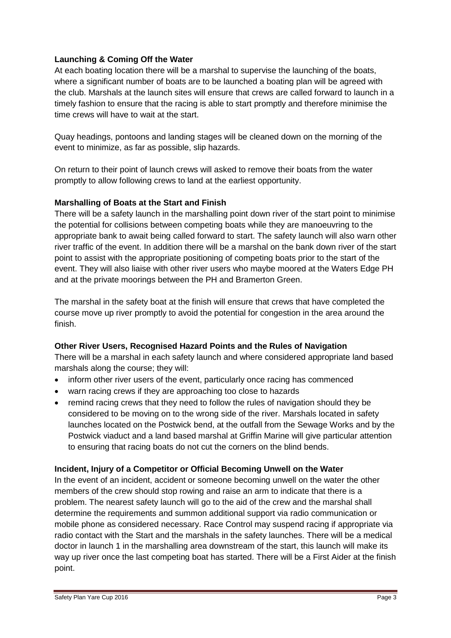## **Launching & Coming Off the Water**

At each boating location there will be a marshal to supervise the launching of the boats, where a significant number of boats are to be launched a boating plan will be agreed with the club. Marshals at the launch sites will ensure that crews are called forward to launch in a timely fashion to ensure that the racing is able to start promptly and therefore minimise the time crews will have to wait at the start.

Quay headings, pontoons and landing stages will be cleaned down on the morning of the event to minimize, as far as possible, slip hazards.

On return to their point of launch crews will asked to remove their boats from the water promptly to allow following crews to land at the earliest opportunity.

## **Marshalling of Boats at the Start and Finish**

There will be a safety launch in the marshalling point down river of the start point to minimise the potential for collisions between competing boats while they are manoeuvring to the appropriate bank to await being called forward to start. The safety launch will also warn other river traffic of the event. In addition there will be a marshal on the bank down river of the start point to assist with the appropriate positioning of competing boats prior to the start of the event. They will also liaise with other river users who maybe moored at the Waters Edge PH and at the private moorings between the PH and Bramerton Green.

The marshal in the safety boat at the finish will ensure that crews that have completed the course move up river promptly to avoid the potential for congestion in the area around the finish.

#### **Other River Users, Recognised Hazard Points and the Rules of Navigation**

There will be a marshal in each safety launch and where considered appropriate land based marshals along the course; they will:

- inform other river users of the event, particularly once racing has commenced
- warn racing crews if they are approaching too close to hazards
- remind racing crews that they need to follow the rules of navigation should they be considered to be moving on to the wrong side of the river. Marshals located in safety launches located on the Postwick bend, at the outfall from the Sewage Works and by the Postwick viaduct and a land based marshal at Griffin Marine will give particular attention to ensuring that racing boats do not cut the corners on the blind bends.

#### **Incident, Injury of a Competitor or Official Becoming Unwell on the Water**

In the event of an incident, accident or someone becoming unwell on the water the other members of the crew should stop rowing and raise an arm to indicate that there is a problem. The nearest safety launch will go to the aid of the crew and the marshal shall determine the requirements and summon additional support via radio communication or mobile phone as considered necessary. Race Control may suspend racing if appropriate via radio contact with the Start and the marshals in the safety launches. There will be a medical doctor in launch 1 in the marshalling area downstream of the start, this launch will make its way up river once the last competing boat has started. There will be a First Aider at the finish point.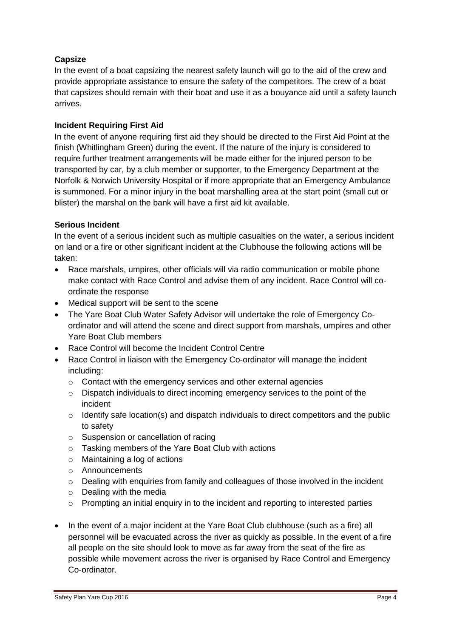# **Capsize**

In the event of a boat capsizing the nearest safety launch will go to the aid of the crew and provide appropriate assistance to ensure the safety of the competitors. The crew of a boat that capsizes should remain with their boat and use it as a bouyance aid until a safety launch arrives.

# **Incident Requiring First Aid**

In the event of anyone requiring first aid they should be directed to the First Aid Point at the finish (Whitlingham Green) during the event. If the nature of the injury is considered to require further treatment arrangements will be made either for the injured person to be transported by car, by a club member or supporter, to the Emergency Department at the Norfolk & Norwich University Hospital or if more appropriate that an Emergency Ambulance is summoned. For a minor injury in the boat marshalling area at the start point (small cut or blister) the marshal on the bank will have a first aid kit available.

## **Serious Incident**

In the event of a serious incident such as multiple casualties on the water, a serious incident on land or a fire or other significant incident at the Clubhouse the following actions will be taken:

- Race marshals, umpires, other officials will via radio communication or mobile phone make contact with Race Control and advise them of any incident. Race Control will coordinate the response
- Medical support will be sent to the scene
- The Yare Boat Club Water Safety Advisor will undertake the role of Emergency Coordinator and will attend the scene and direct support from marshals, umpires and other Yare Boat Club members
- Race Control will become the Incident Control Centre
- Race Control in liaison with the Emergency Co-ordinator will manage the incident including:
	- o Contact with the emergency services and other external agencies
	- o Dispatch individuals to direct incoming emergency services to the point of the incident
	- $\circ$  Identify safe location(s) and dispatch individuals to direct competitors and the public to safety
	- o Suspension or cancellation of racing
	- o Tasking members of the Yare Boat Club with actions
	- o Maintaining a log of actions
	- o Announcements
	- o Dealing with enquiries from family and colleagues of those involved in the incident
	- $\circ$  Dealing with the media
	- $\circ$  Prompting an initial enguiry in to the incident and reporting to interested parties
- In the event of a major incident at the Yare Boat Club clubhouse (such as a fire) all personnel will be evacuated across the river as quickly as possible. In the event of a fire all people on the site should look to move as far away from the seat of the fire as possible while movement across the river is organised by Race Control and Emergency Co-ordinator.